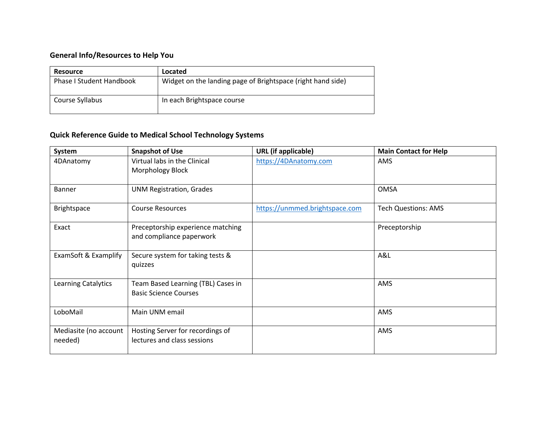## **General Info/Resources to Help You**

| <b>Resource</b>                 | Located                                                     |
|---------------------------------|-------------------------------------------------------------|
| <b>Phase I Student Handbook</b> | Widget on the landing page of Brightspace (right hand side) |
| Course Syllabus                 | In each Brightspace course                                  |

## **Quick Reference Guide to Medical School Technology Systems**

| System                           | <b>Snapshot of Use</b>                                             | <b>URL</b> (if applicable)     | <b>Main Contact for Help</b> |
|----------------------------------|--------------------------------------------------------------------|--------------------------------|------------------------------|
| 4DAnatomy                        | Virtual labs in the Clinical<br>Morphology Block                   | https://4DAnatomy.com          | AMS                          |
| <b>Banner</b>                    | <b>UNM Registration, Grades</b>                                    |                                | <b>OMSA</b>                  |
| Brightspace                      | <b>Course Resources</b>                                            | https://unmmed.brightspace.com | <b>Tech Questions: AMS</b>   |
| Exact                            | Preceptorship experience matching<br>and compliance paperwork      |                                | Preceptorship                |
| ExamSoft & Examplify             | Secure system for taking tests &<br>quizzes                        |                                | A&L                          |
| Learning Catalytics              | Team Based Learning (TBL) Cases in<br><b>Basic Science Courses</b> |                                | AMS                          |
| LoboMail                         | Main UNM email                                                     |                                | AMS                          |
| Mediasite (no account<br>needed) | Hosting Server for recordings of<br>lectures and class sessions    |                                | AMS                          |